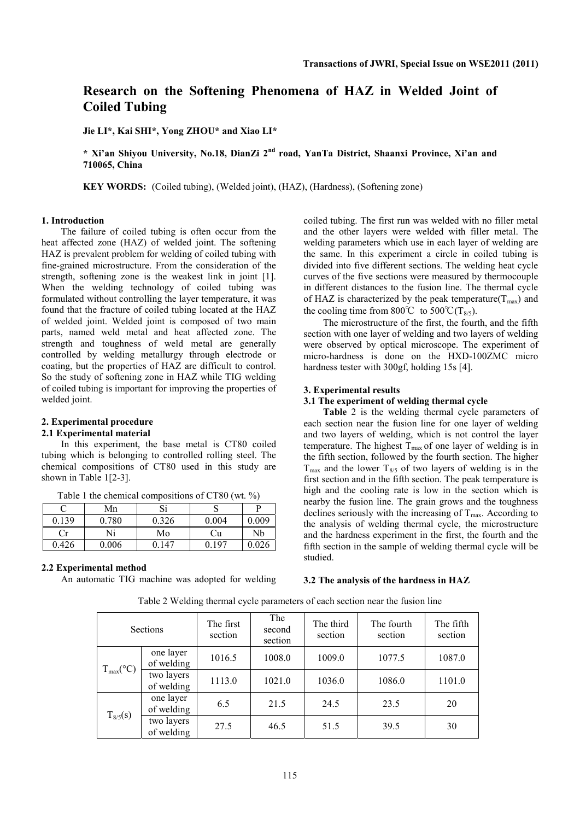# **Research on the Softening Phenomena of HAZ in Welded Joint of Coiled Tubing**

**Jie LI\*, Kai SHI\*, Yong ZHOU\* and Xiao LI\*** 

**\* Xi'an Shiyou University, No.18, DianZi 2nd road, YanTa District, Shaanxi Province, Xi'an and 710065, China** 

**KEY WORDS:** (Coiled tubing), (Welded joint), (HAZ), (Hardness), (Softening zone)

### **1. Introduction**

The failure of coiled tubing is often occur from the heat affected zone (HAZ) of welded joint. The softening HAZ is prevalent problem for welding of coiled tubing with fine-grained microstructure. From the consideration of the strength, softening zone is the weakest link in joint [1]. When the welding technology of coiled tubing was formulated without controlling the layer temperature, it was found that the fracture of coiled tubing located at the HAZ of welded joint. Welded joint is composed of two main parts, named weld metal and heat affected zone. The strength and toughness of weld metal are generally controlled by welding metallurgy through electrode or coating, but the properties of HAZ are difficult to control. So the study of softening zone in HAZ while TIG welding of coiled tubing is important for improving the properties of welded joint.

# **2. Experimental procedure**

### **2.1 Experimental material**

In this experiment, the base metal is CT80 coiled tubing which is belonging to controlled rolling steel. The chemical compositions of CT80 used in this study are shown in Table 1[2-3].

| Table 1 the chemical compositions of CT80 (wt. $\%$ ) |
|-------------------------------------------------------|
|-------------------------------------------------------|

|       | Mn    | ຕ:<br>ОI |       |       |
|-------|-------|----------|-------|-------|
| 0.139 | 0.780 | 0.326    | 0.004 | 0.009 |
|       | Ni    | Mo       | Сu    | Nb    |
| 0.426 | 0.006 | 147      | 0.197 | 0.026 |

#### **2.2 Experimental method**

An automatic TIG machine was adopted for welding

coiled tubing. The first run was welded with no filler metal and the other layers were welded with filler metal. The welding parameters which use in each layer of welding are the same. In this experiment a circle in coiled tubing is divided into five different sections. The welding heat cycle curves of the five sections were measured by thermocouple in different distances to the fusion line. The thermal cycle of HAZ is characterized by the peak temperature( $T_{\text{max}}$ ) and the cooling time from 800°C to 500°C(T<sub>8/5</sub>).

The microstructure of the first, the fourth, and the fifth section with one layer of welding and two layers of welding were observed by optical microscope. The experiment of micro-hardness is done on the HXD-100ZMC micro hardness tester with 300gf, holding 15s [4].

#### **3. Experimental results**

## **3.1 The experiment of welding thermal cycle**

**Table** 2 is the welding thermal cycle parameters of each section near the fusion line for one layer of welding and two layers of welding, which is not control the layer temperature. The highest  $T_{\text{max}}$  of one layer of welding is in the fifth section, followed by the fourth section. The higher  $T_{\text{max}}$  and the lower  $T_{8/5}$  of two layers of welding is in the first section and in the fifth section. The peak temperature is high and the cooling rate is low in the section which is nearby the fusion line. The grain grows and the toughness declines seriously with the increasing of  $T_{\text{max}}$ . According to the analysis of welding thermal cycle, the microstructure and the hardness experiment in the first, the fourth and the fifth section in the sample of welding thermal cycle will be studied.

## **3.2 The analysis of the hardness in HAZ**

| <b>Sections</b>      |                          | The first<br>section | The<br>second<br>section | The third<br>section | The fourth<br>section | The fifth<br>section |
|----------------------|--------------------------|----------------------|--------------------------|----------------------|-----------------------|----------------------|
| $T_{max}(^{\circ}C)$ | one layer<br>of welding  | 1016.5<br>1008.0     |                          | 1009.0               | 1077.5                | 1087.0               |
|                      | two layers<br>of welding | 1113.0               | 1021.0                   | 1036.0               | 1086.0                | 1101.0               |
| $T_{8/5}(s)$         | one layer<br>of welding  | 6.5                  | 21.5                     | 24.5                 | 23.5                  | 20                   |
|                      | two layers<br>of welding | 27.5                 | 46.5                     | 51.5                 | 39.5                  | 30                   |

Table 2 Welding thermal cycle parameters of each section near the fusion line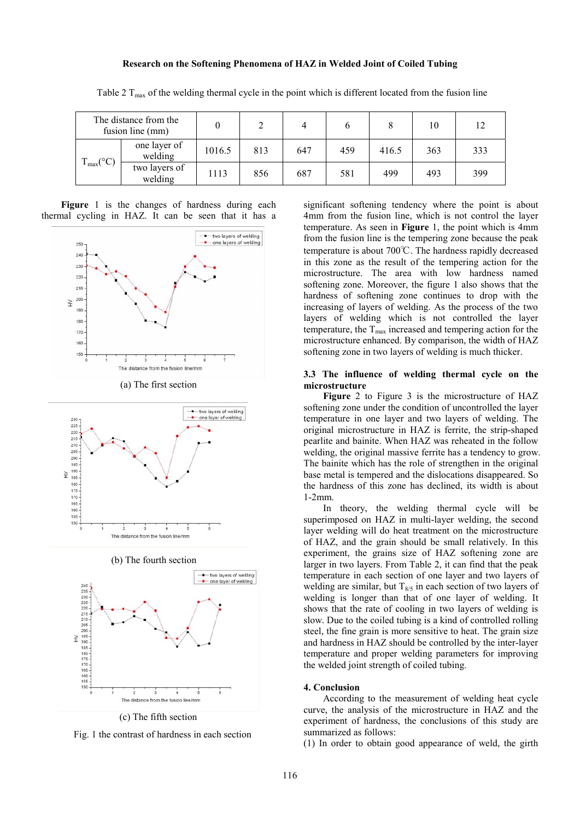#### **Research on the Softening Phenomena of HAZ in Welded Joint of Coiled Tubing**

| The distance from the<br>fusion line (mm)    |                          |        |     |     |     |       | 10  | 12  |
|----------------------------------------------|--------------------------|--------|-----|-----|-----|-------|-----|-----|
| $C^{\circ}$<br>$\mathbf{I}$ max $\mathbf{I}$ | one layer of<br>welding  | 1016.5 | 813 | 647 | 459 | 416.5 | 363 | 333 |
|                                              | two layers of<br>welding | 1113   | 856 | 687 | 581 | 499   | 493 | 399 |

Table 2 T<sub>max</sub> of the welding thermal cycle in the point which is different located from the fusion line

Figure 1 is the changes of hardness during each thermal cycling in HAZ. It can be seen that it has a



(a) The first section



(b) The fourth section



(c) The fifth section

Fig. 1 the contrast of hardness in each section

significant softening tendency where the point is about 4mm from the fusion line, which is not control the layer temperature. As seen in **Figure** 1, the point which is 4mm from the fusion line is the tempering zone because the peak temperature is about 700℃. The hardness rapidly decreased in this zone as the result of the tempering action for the microstructure. The area with low hardness named softening zone. Moreover, the figure 1 also shows that the hardness of softening zone continues to drop with the increasing of layers of welding. As the process of the two layers of welding which is not controlled the layer temperature, the  $T_{\text{max}}$  increased and tempering action for the microstructure enhanced. By comparison, the width of HAZ softening zone in two layers of welding is much thicker.

#### **3.3 The influence of welding thermal cycle on the microstructure**

**Figure** 2 to Figure 3 is the microstructure of HAZ softening zone under the condition of uncontrolled the layer temperature in one layer and two layers of welding. The original microstructure in HAZ is ferrite, the strip-shaped pearlite and bainite. When HAZ was reheated in the follow welding, the original massive ferrite has a tendency to grow. The bainite which has the role of strengthen in the original base metal is tempered and the dislocations disappeared. So the hardness of this zone has declined, its width is about 1-2mm.

In theory, the welding thermal cycle will be superimposed on HAZ in multi-layer welding, the second layer welding will do heat treatment on the microstructure of HAZ, and the grain should be small relatively. In this experiment, the grains size of HAZ softening zone are larger in two layers. From Table 2, it can find that the peak temperature in each section of one layer and two layers of welding are similar, but  $T_{8/5}$  in each section of two layers of welding is longer than that of one layer of welding. It shows that the rate of cooling in two layers of welding is slow. Due to the coiled tubing is a kind of controlled rolling steel, the fine grain is more sensitive to heat. The grain size and hardness in HAZ should be controlled by the inter-layer temperature and proper welding parameters for improving the welded joint strength of coiled tubing.

#### **4. Conclusion**

According to the measurement of welding heat cycle curve, the analysis of the microstructure in HAZ and the experiment of hardness, the conclusions of this study are summarized as follows:

(1) In order to obtain good appearance of weld, the girth